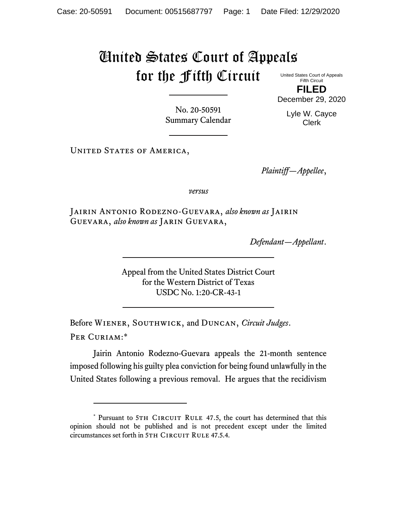## United States Court of Appeals for the Fifth Circuit

United States Court of Appeals Fifth Circuit **FILED**

No. 20-50591 Summary Calendar

Lyle W. Cayce Clerk

December 29, 2020

UNITED STATES OF AMERICA,

*Plaintiff—Appellee*,

*versus*

Jairin Antonio Rodezno-Guevara, *also known as* Jairin Guevara, *also known as* Jarin Guevara,

*Defendant—Appellant*.

Appeal from the United States District Court for the Western District of Texas USDC No. 1:20-CR-43-1

Before Wiener, Southwick, and Duncan, *Circuit Judges*. Per Curiam:\*

Jairin Antonio Rodezno-Guevara appeals the 21-month sentence imposed following his guilty plea conviction for being found unlawfully in the United States following a previous removal. He argues that the recidivism

<sup>\*</sup> Pursuant to 5TH CIRCUIT RULE 47.5, the court has determined that this opinion should not be published and is not precedent except under the limited circumstances set forth in 5TH CIRCUIT RULE 47.5.4.